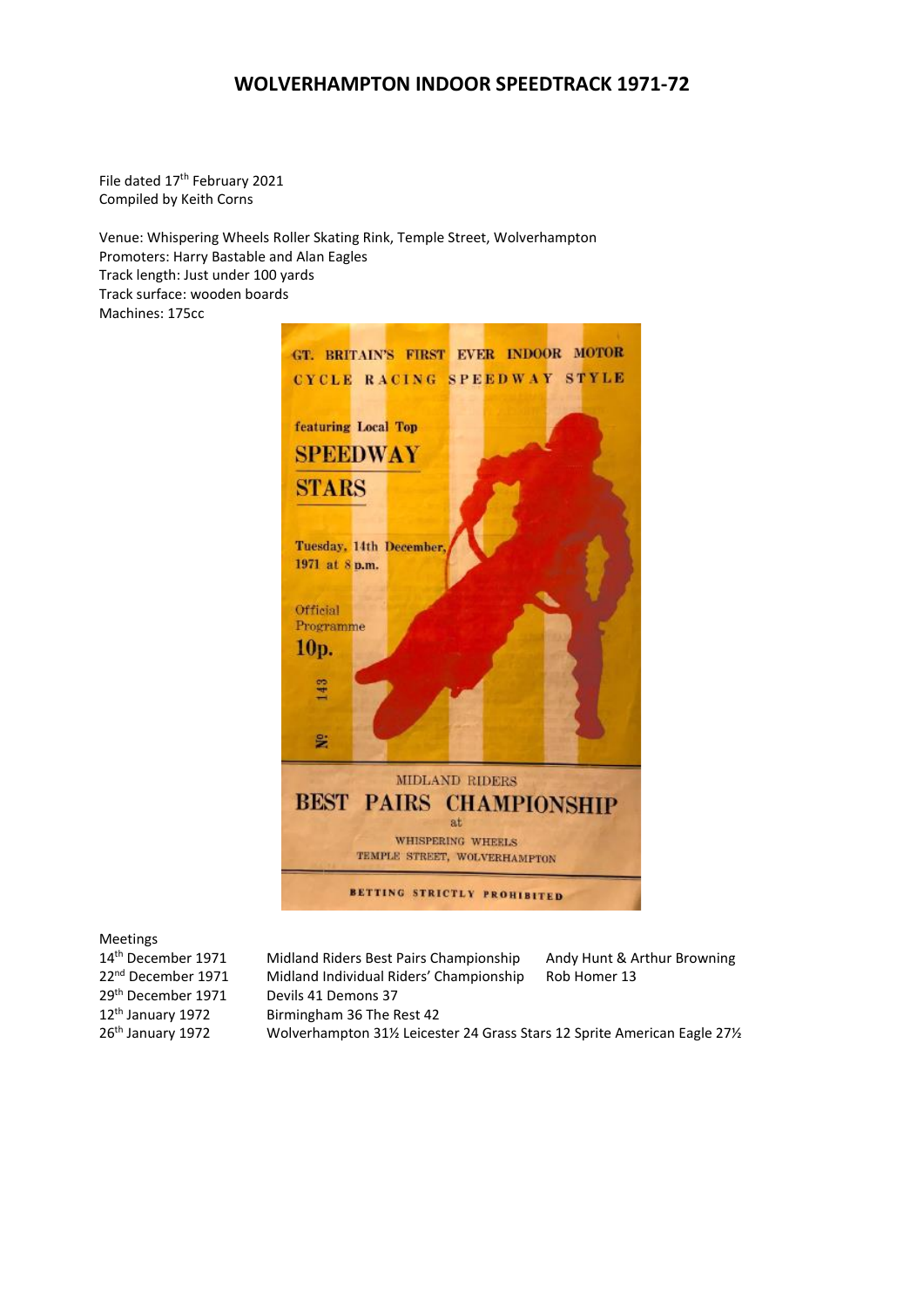# **WOLVERHAMPTON INDOOR SPEEDTRACK 1971-72**

File dated 17<sup>th</sup> February 2021 Compiled by Keith Corns

Venue: Whispering Wheels Roller Skating Rink, Temple Street, Wolverhampton Promoters: Harry Bastable and Alan Eagles Track length: Just under 100 yards Track surface: wooden boards Machines: 175cc



Meetings

14<sup>th</sup> December 1971 Midland Riders Best Pairs Championship Andy Hunt & Arthur Browning 22<sup>nd</sup> December 1971 Midland Individual Riders' Championship Rob Homer 13  $29<sup>th</sup>$  December 1971 Devils 41 Demons 37<br>12<sup>th</sup> January 1972 Birmingham 36 The R Birmingham 36 The Rest 42 26th January 1972 Wolverhampton 31½ Leicester 24 Grass Stars 12 Sprite American Eagle 27½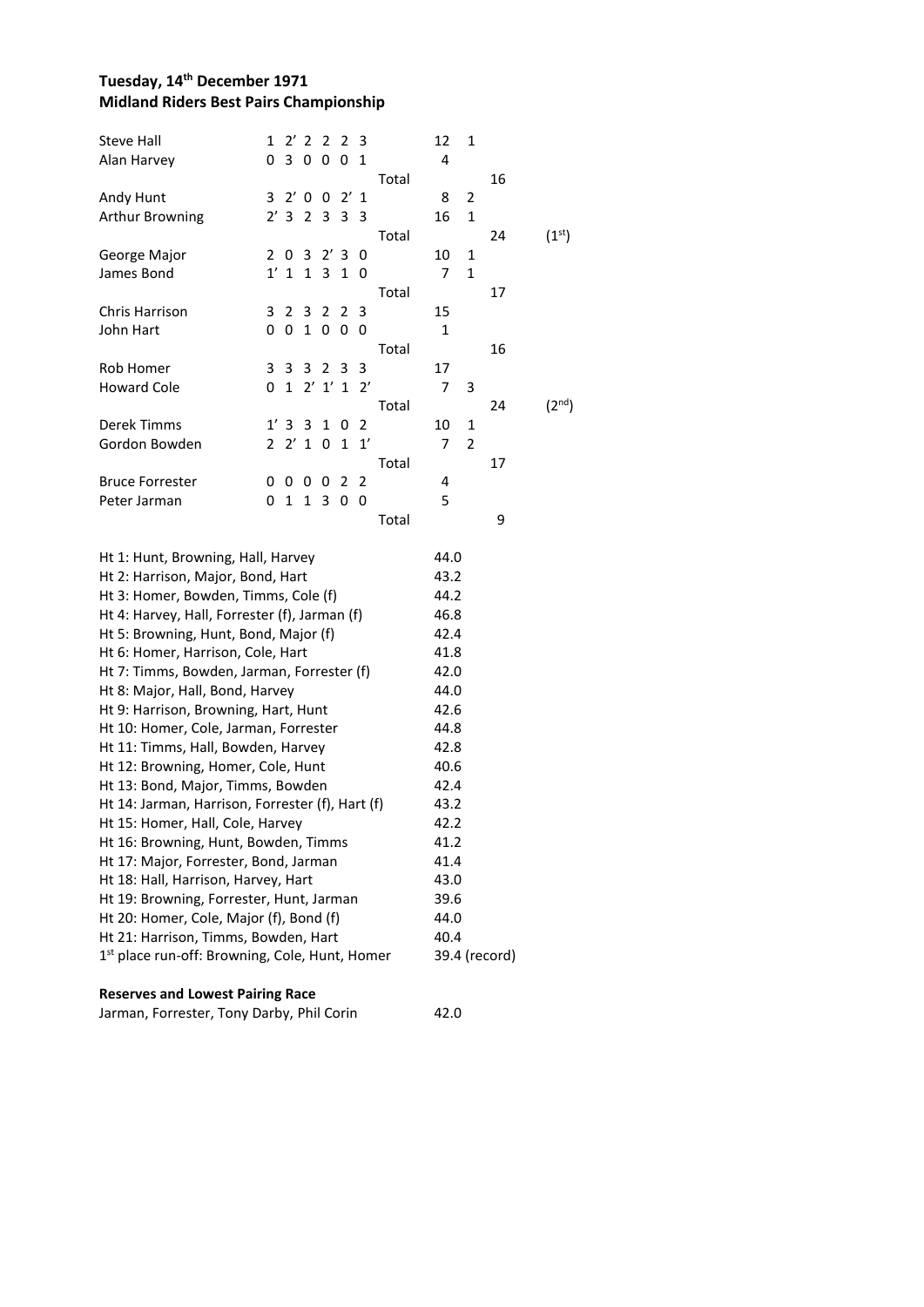## **Tuesday, 14th December 1971 Midland Riders Best Pairs Championship**

| Steve Hall<br>Alan Harvey                                                   | 1<br>0                | $2^{\prime}$<br>3 | 2<br>0         | 2<br>0    | 2<br>0       | 3<br>1       |       | 12<br>4      | 1              |               |                    |
|-----------------------------------------------------------------------------|-----------------------|-------------------|----------------|-----------|--------------|--------------|-------|--------------|----------------|---------------|--------------------|
|                                                                             |                       |                   |                |           |              |              | Total |              |                | 16            |                    |
| Andy Hunt                                                                   | 3                     | $2'$ 0            |                | 0         | $2^{\prime}$ | 1            |       | 8            | $\overline{2}$ |               |                    |
| Arthur Browning                                                             | $2^{\prime}$          | 3                 | $\overline{2}$ | 3         | 3            | 3            |       | 16           | 1              |               |                    |
|                                                                             |                       |                   |                |           |              |              | Total |              |                | 24            | (1 <sup>st</sup> ) |
| George Major                                                                | $\mathbf{2}^{\prime}$ | 0                 | 3              | 2'3       |              | 0            |       | 10           | 1              |               |                    |
| James Bond                                                                  | 1'                    | $\mathbf{1}$      | $\mathbf{1}$   | 3         | $\mathbf 1$  | 0            |       | 7            | $\mathbf{1}$   |               |                    |
|                                                                             |                       |                   |                |           |              |              | Total |              |                | 17            |                    |
| Chris Harrison                                                              | 3                     | 2                 | 3              | 2         | 2            | 3            |       | 15           |                |               |                    |
| John Hart                                                                   | 0                     | 0                 | $\mathbf 1$    | 0         | 0            | 0            |       | 1            |                |               |                    |
|                                                                             |                       |                   |                |           |              |              | Total |              |                | 16            |                    |
| Rob Homer                                                                   | 3                     | 3                 | 3              | 2         | 3            | 3            |       | 17           |                |               |                    |
| <b>Howard Cole</b>                                                          | 0                     | $\mathbf{1}$      |                | $2'$ 1' 1 |              | $2^{\prime}$ |       | 7            | 3              |               |                    |
|                                                                             |                       |                   |                |           |              |              | Total |              |                | 24            | (2 <sup>nd</sup> ) |
| Derek Timms                                                                 |                       | 1'3               | 3              | 1         | 0            | 2            |       | 10           | 1              |               |                    |
| Gordon Bowden                                                               | 2                     | $2^{\prime}$      | $\mathbf{1}$   | 0         | $\mathbf{1}$ | 1'           |       | 7            | $\overline{2}$ |               |                    |
|                                                                             |                       |                   |                |           |              |              | Total |              |                | 17            |                    |
| <b>Bruce Forrester</b>                                                      | 0                     | 0                 | 0              | 0         | 2            | 2            |       | 4            |                |               |                    |
| Peter Jarman                                                                | 0                     | 1                 | 1              | 3         | 0            | 0            |       | 5            |                |               |                    |
|                                                                             |                       |                   |                |           |              |              | Total |              |                | 9             |                    |
|                                                                             |                       |                   |                |           |              |              |       |              |                |               |                    |
| Ht 1: Hunt, Browning, Hall, Harvey                                          |                       |                   |                |           |              |              |       | 44.0         |                |               |                    |
| Ht 2: Harrison, Major, Bond, Hart                                           |                       |                   |                |           |              |              |       | 43.2         |                |               |                    |
| Ht 3: Homer, Bowden, Timms, Cole (f)                                        |                       |                   |                |           |              |              |       | 44.2         |                |               |                    |
| Ht 4: Harvey, Hall, Forrester (f), Jarman (f)                               |                       |                   |                |           |              |              |       | 46.8         |                |               |                    |
| Ht 5: Browning, Hunt, Bond, Major (f)                                       |                       |                   |                |           |              |              |       | 42.4         |                |               |                    |
| Ht 6: Homer, Harrison, Cole, Hart                                           |                       |                   |                |           |              |              |       | 41.8         |                |               |                    |
| Ht 7: Timms, Bowden, Jarman, Forrester (f)                                  |                       |                   |                |           |              |              |       | 42.0         |                |               |                    |
| Ht 8: Major, Hall, Bond, Harvey                                             |                       |                   |                |           |              |              |       | 44.0<br>42.6 |                |               |                    |
| Ht 9: Harrison, Browning, Hart, Hunt                                        |                       |                   |                |           |              |              |       |              |                |               |                    |
| Ht 10: Homer, Cole, Jarman, Forrester<br>Ht 11: Timms, Hall, Bowden, Harvey |                       |                   |                |           |              |              |       | 44.8<br>42.8 |                |               |                    |
| Ht 12: Browning, Homer, Cole, Hunt                                          |                       |                   |                |           |              |              |       | 40.6         |                |               |                    |
| Ht 13: Bond, Major, Timms, Bowden                                           |                       |                   |                |           |              |              |       | 42.4         |                |               |                    |
| Ht 14: Jarman, Harrison, Forrester (f), Hart (f)                            |                       |                   |                |           |              |              |       | 43.2         |                |               |                    |
| Ht 15: Homer, Hall, Cole, Harvey                                            |                       |                   |                |           |              |              |       | 42.2         |                |               |                    |
| Ht 16: Browning, Hunt, Bowden, Timms                                        |                       |                   |                |           |              |              |       | 41.2         |                |               |                    |
| Ht 17: Major, Forrester, Bond, Jarman                                       |                       |                   |                |           |              |              |       | 41.4         |                |               |                    |
| Ht 18: Hall, Harrison, Harvey, Hart                                         |                       |                   |                |           |              |              |       | 43.0         |                |               |                    |
| Ht 19: Browning, Forrester, Hunt, Jarman                                    |                       |                   |                |           |              |              |       | 39.6         |                |               |                    |
| Ht 20: Homer, Cole, Major (f), Bond (f)                                     |                       |                   |                |           |              |              |       | 44.0         |                |               |                    |
| Ht 21: Harrison, Timms, Bowden, Hart                                        |                       |                   |                |           |              |              |       | 40.4         |                |               |                    |
| 1 <sup>st</sup> place run-off: Browning, Cole, Hunt, Homer                  |                       |                   |                |           |              |              |       |              |                | 39.4 (record) |                    |
|                                                                             |                       |                   |                |           |              |              |       |              |                |               |                    |
| <b>Reserves and Lowest Pairing Race</b>                                     |                       |                   |                |           |              |              |       |              |                |               |                    |

|  | Jarman, Forrester, Tony Darby, Phil Corin | 42.0 |
|--|-------------------------------------------|------|
|  |                                           |      |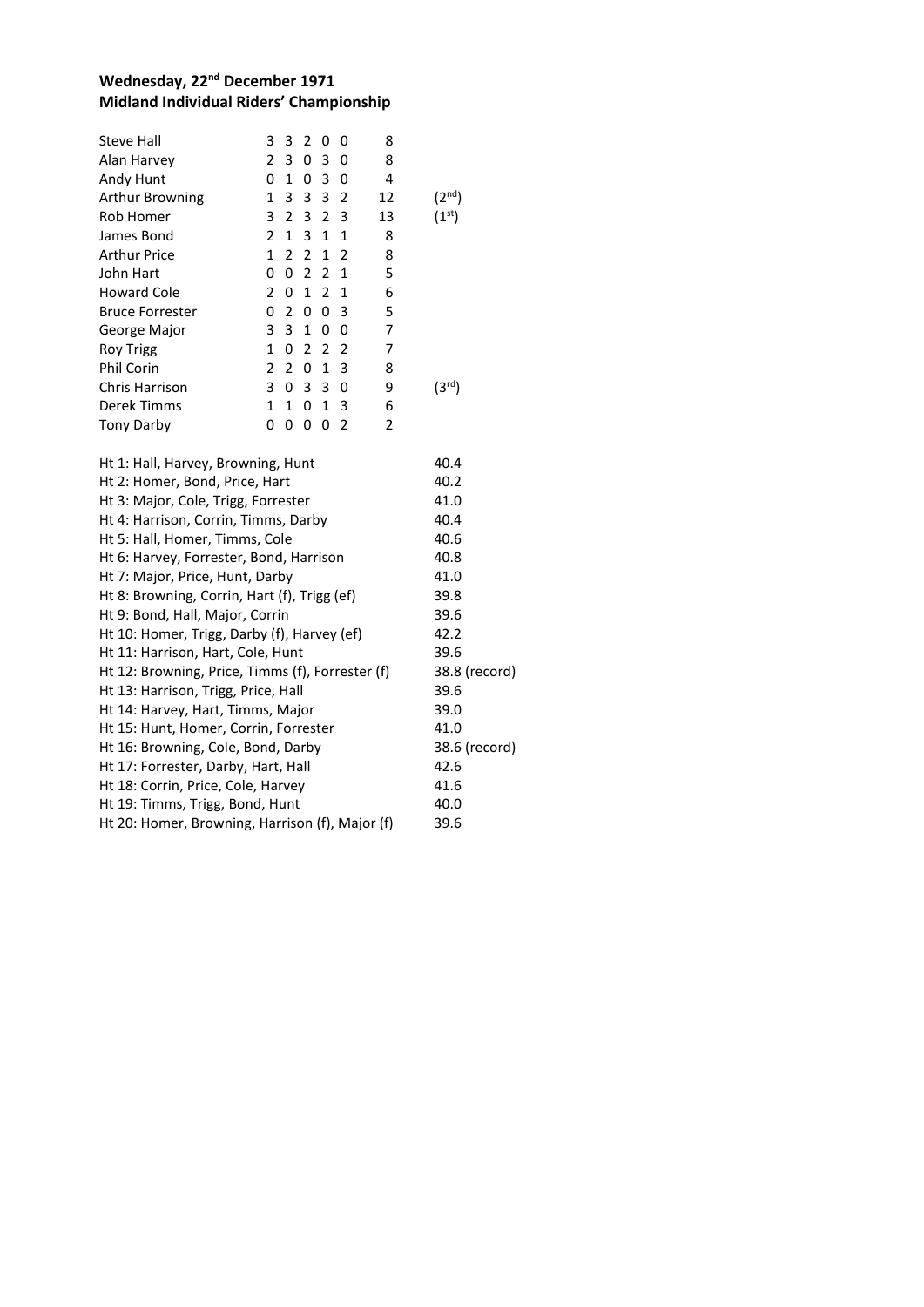### **Wednesday, 22nd December 1971 Midland Individual Riders' Championship**

| Steve Hall             | 3             | 3             | $\mathcal{P}$  | O              | O             | 8  |                    |
|------------------------|---------------|---------------|----------------|----------------|---------------|----|--------------------|
| Alan Harvey            | 2             | 3             | 0              | 3              | 0             | 8  |                    |
| Andy Hunt              | 0             | 1             | 0              | 3              | 0             | 4  |                    |
| <b>Arthur Browning</b> | 1             | 3             | 3              | 3              | 2             | 12 | $(2^{nd})$         |
| Rob Homer              | 3             | 2             | 3              | 2              | 3             | 13 | $(1^{\rm st})$     |
| James Bond             | $\mathcal{P}$ | 1             | 3              | 1              | 1             | 8  |                    |
| <b>Arthur Price</b>    | 1             | 2             | 2              | 1              | 2             | 8  |                    |
| John Hart              | 0             | 0             | $\overline{2}$ | 2              | $\mathbf{1}$  | 5  |                    |
| <b>Howard Cole</b>     | $\mathcal{P}$ | 0             | 1              | $\overline{2}$ | $\mathbf{1}$  | 6  |                    |
| <b>Bruce Forrester</b> | 0             | 2             | 0              | 0              | 3             | 5  |                    |
| George Major           | 3             | 3             | 1              | 0              | 0             | 7  |                    |
| <b>Roy Trigg</b>       | 1             | 0             | $\mathcal{P}$  | $\overline{2}$ | $\mathcal{L}$ | 7  |                    |
| <b>Phil Corin</b>      | $\mathcal{P}$ | $\mathcal{P}$ | 0              | 1              | 3             | 8  |                    |
| Chris Harrison         | 3             | 0             | 3              | 3              | 0             | 9  | (3 <sup>rd</sup> ) |
| Derek Timms            | 1             | 1             | 0              | 1              | 3             | 6  |                    |
| <b>Tony Darby</b>      | n             | O             | Ω              | O              | 2             | 2  |                    |
|                        |               |               |                |                |               |    |                    |

| Ht 1: Hall, Harvey, Browning, Hunt               | 40.4          |
|--------------------------------------------------|---------------|
| Ht 2: Homer, Bond, Price, Hart                   | 40.2          |
| Ht 3: Major, Cole, Trigg, Forrester              | 41.0          |
| Ht 4: Harrison, Corrin, Timms, Darby             | 40.4          |
| Ht 5: Hall, Homer, Timms, Cole                   | 40.6          |
| Ht 6: Harvey, Forrester, Bond, Harrison          | 40.8          |
| Ht 7: Major, Price, Hunt, Darby                  | 41.0          |
| Ht 8: Browning, Corrin, Hart (f), Trigg (ef)     | 39.8          |
| Ht 9: Bond, Hall, Major, Corrin                  | 39.6          |
| Ht 10: Homer, Trigg, Darby (f), Harvey (ef)      | 42.2          |
| Ht 11: Harrison, Hart, Cole, Hunt                | 39.6          |
| Ht 12: Browning, Price, Timms (f), Forrester (f) | 38.8 (record) |
| Ht 13: Harrison, Trigg, Price, Hall              | 39.6          |
| Ht 14: Harvey, Hart, Timms, Major                | 39.0          |
| Ht 15: Hunt, Homer, Corrin, Forrester            | 41.0          |
| Ht 16: Browning, Cole, Bond, Darby               | 38.6 (record) |
| Ht 17: Forrester, Darby, Hart, Hall              | 42.6          |
| Ht 18: Corrin, Price, Cole, Harvey               | 41.6          |
| Ht 19: Timms, Trigg, Bond, Hunt                  | 40.0          |
| Ht 20: Homer, Browning, Harrison (f), Major (f)  | 39.6          |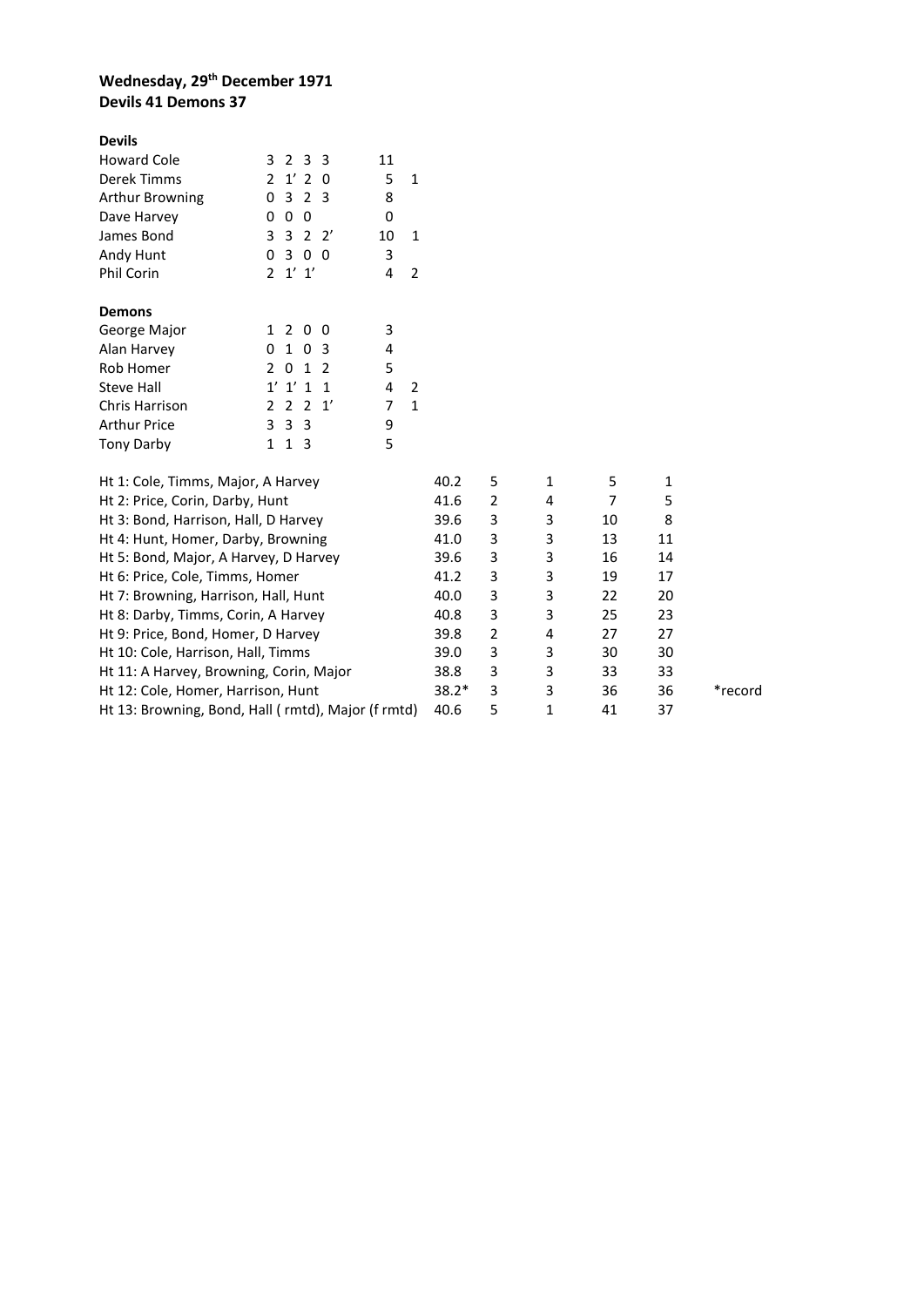## **Wednesday, 29th December 1971 Devils 41 Demons 37**

| <b>Devils</b>                                      |                |                |                |                 |                |                |         |                |   |                |              |         |
|----------------------------------------------------|----------------|----------------|----------------|-----------------|----------------|----------------|---------|----------------|---|----------------|--------------|---------|
| <b>Howard Cole</b>                                 | 3              | 2 <sub>3</sub> |                | - 3             | 11             |                |         |                |   |                |              |         |
| Derek Timms                                        | 2              | $1'$ 2         |                | 0               | 5              | $\mathbf{1}$   |         |                |   |                |              |         |
| Arthur Browning                                    | 0              | 3              | 2 <sub>3</sub> |                 | 8              |                |         |                |   |                |              |         |
| Dave Harvey                                        | 0              | 0 <sub>0</sub> |                |                 | 0              |                |         |                |   |                |              |         |
| James Bond                                         | 3              | $\mathbf{3}$   |                | $2 \frac{2}{3}$ | 10             | $\mathbf{1}$   |         |                |   |                |              |         |
| Andy Hunt                                          | 0              | 3              | 0 <sub>0</sub> |                 | 3              |                |         |                |   |                |              |         |
| Phil Corin                                         | $\mathbf{2}$   | $1'$ $1'$      |                |                 | 4              | $\overline{2}$ |         |                |   |                |              |         |
| <b>Demons</b>                                      |                |                |                |                 |                |                |         |                |   |                |              |         |
| George Major                                       | $\mathbf{1}$   | 2 0 0          |                |                 | 3              |                |         |                |   |                |              |         |
| Alan Harvey                                        | $\mathbf 0$    | 103            |                |                 | 4              |                |         |                |   |                |              |         |
| Rob Homer                                          | 2              | 0 <sub>1</sub> |                | 2               | 5              |                |         |                |   |                |              |         |
| Steve Hall                                         |                | $1'$ $1'$ $1$  |                | $\mathbf{1}$    | 4              | 2              |         |                |   |                |              |         |
| <b>Chris Harrison</b>                              | 2 <sub>2</sub> |                |                | 2 <sub>1</sub>  | $\overline{7}$ | $\mathbf{1}$   |         |                |   |                |              |         |
| <b>Arthur Price</b>                                | 3              | 3 <sub>3</sub> |                |                 | 9              |                |         |                |   |                |              |         |
| <b>Tony Darby</b>                                  | 1              | 1 <sub>3</sub> |                |                 | 5              |                |         |                |   |                |              |         |
| Ht 1: Cole, Timms, Major, A Harvey                 |                |                |                |                 |                |                | 40.2    | 5              | 1 | 5              | $\mathbf{1}$ |         |
| Ht 2: Price, Corin, Darby, Hunt                    |                |                |                |                 |                |                | 41.6    | $\overline{2}$ | 4 | $\overline{7}$ | 5            |         |
| Ht 3: Bond, Harrison, Hall, D Harvey               |                |                |                |                 |                |                | 39.6    | 3              | 3 | 10             | 8            |         |
| Ht 4: Hunt, Homer, Darby, Browning                 |                |                |                |                 |                |                | 41.0    | 3              | 3 | 13             | 11           |         |
| Ht 5: Bond, Major, A Harvey, D Harvey              |                |                |                |                 |                |                | 39.6    | 3              | 3 | 16             | 14           |         |
| Ht 6: Price, Cole, Timms, Homer                    |                |                |                |                 |                |                | 41.2    | 3              | 3 | 19             | 17           |         |
| Ht 7: Browning, Harrison, Hall, Hunt               |                |                |                |                 |                |                | 40.0    | 3              | 3 | 22             | 20           |         |
| Ht 8: Darby, Timms, Corin, A Harvey                |                |                |                |                 |                |                | 40.8    | 3              | 3 | 25             | 23           |         |
| Ht 9: Price, Bond, Homer, D Harvey                 |                |                |                |                 |                |                | 39.8    | $\overline{2}$ | 4 | 27             | 27           |         |
| Ht 10: Cole, Harrison, Hall, Timms                 |                |                |                |                 |                |                | 39.0    | 3              | 3 | 30             | 30           |         |
| Ht 11: A Harvey, Browning, Corin, Major            |                |                |                |                 |                |                | 38.8    | 3              | 3 | 33             | 33           |         |
| Ht 12: Cole, Homer, Harrison, Hunt                 |                |                |                |                 |                |                | $38.2*$ | 3              | 3 | 36             | 36           | *record |
| Ht 13: Browning, Bond, Hall (rmtd), Major (f rmtd) |                |                |                |                 |                |                |         | 5              | 1 | 41             | 37           |         |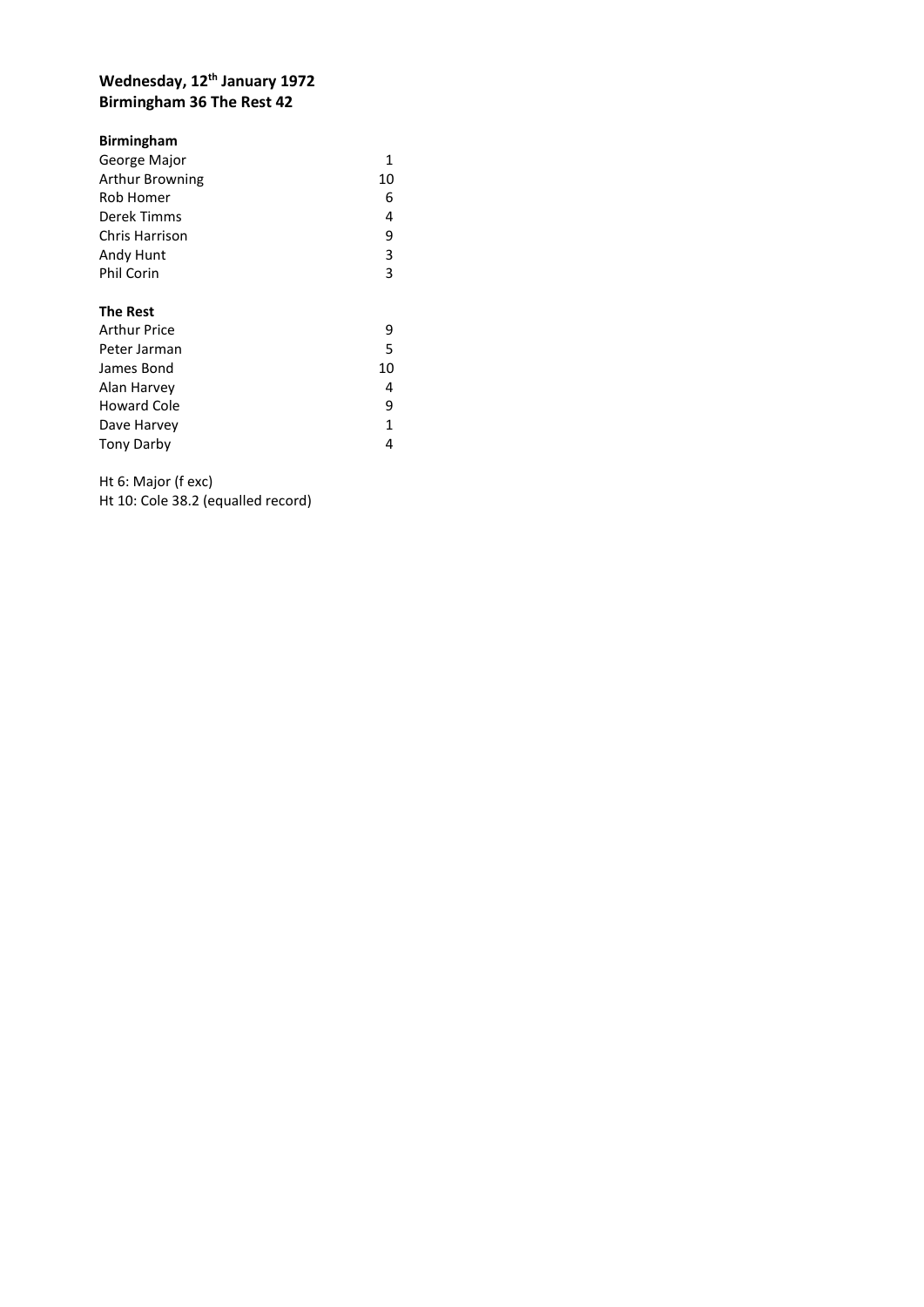## **Wednesday, 12th January 1972 Birmingham 36 The Rest 42**

| <b>Birmingham</b>  |    |
|--------------------|----|
| George Major       | 1  |
| Arthur Browning    | 10 |
| Rob Homer          | 6  |
| Derek Timms        | 4  |
| Chris Harrison     | 9  |
| Andy Hunt          | 3  |
| Phil Corin         | 3  |
|                    |    |
| <b>The Rest</b>    |    |
| Arthur Price       | 9  |
| Peter Jarman       | 5  |
| James Bond         | 10 |
| Alan Harvey        | 4  |
| <b>Howard Cole</b> | 9  |
| Dave Harvey        | 1  |
| <b>Tony Darby</b>  | 4  |

Ht 6: Major (f exc) Ht 10: Cole 38.2 (equalled record)